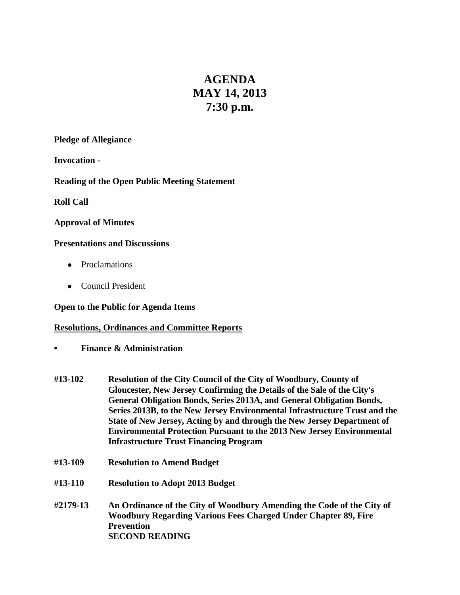# **AGENDA MAY 14, 2013 7:30 p.m.**

#### **Pledge of Allegiance**

**Invocation -**

**Reading of the Open Public Meeting Statement**

**Roll Call**

#### **Approval of Minutes**

#### **Presentations and Discussions**

- Proclamations
- Council President

## **Open to the Public for Agenda Items**

## **Resolutions, Ordinances and Committee Reports**

- **• Finance & Administration**
- **#13-102 Resolution of the City Council of the City of Woodbury, County of Gloucester, New Jersey Confirming the Details of the Sale of the City's General Obligation Bonds, Series 2013A, and General Obligation Bonds, Series 2013B, to the New Jersey Environmental Infrastructure Trust and the State of New Jersey, Acting by and through the New Jersey Department of Environmental Protection Pursuant to the 2013 New Jersey Environmental Infrastructure Trust Financing Program**
- **#13-109 Resolution to Amend Budget**
- **#13-110 Resolution to Adopt 2013 Budget**
- **#2179-13 An Ordinance of the City of Woodbury Amending the Code of the City of Woodbury Regarding Various Fees Charged Under Chapter 89, Fire Prevention SECOND READING**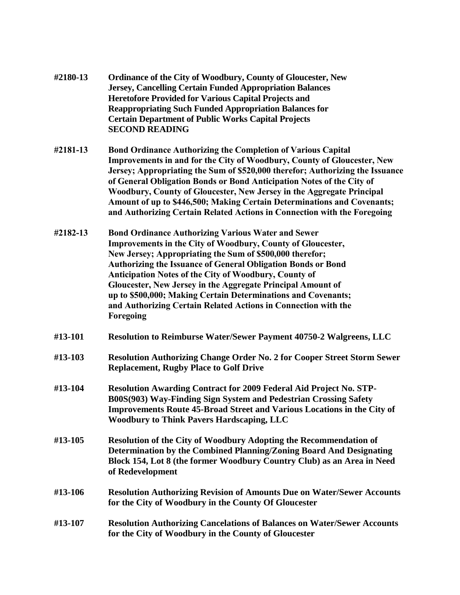| #2180-13 | <b>Ordinance of the City of Woodbury, County of Gloucester, New</b> |
|----------|---------------------------------------------------------------------|
|          | <b>Jersey, Cancelling Certain Funded Appropriation Balances</b>     |
|          | <b>Heretofore Provided for Various Capital Projects and</b>         |
|          | <b>Reappropriating Such Funded Appropriation Balances for</b>       |
|          | <b>Certain Department of Public Works Capital Projects</b>          |
|          | <b>SECOND READING</b>                                               |

- **#2181-13 Bond Ordinance Authorizing the Completion of Various Capital Improvements in and for the City of Woodbury, County of Gloucester, New Jersey; Appropriating the Sum of \$520,000 therefor; Authorizing the Issuance of General Obligation Bonds or Bond Anticipation Notes of the City of Woodbury, County of Gloucester, New Jersey in the Aggregate Principal Amount of up to \$446,500; Making Certain Determinations and Covenants; and Authorizing Certain Related Actions in Connection with the Foregoing**
- **#2182-13 Bond Ordinance Authorizing Various Water and Sewer Improvements in the City of Woodbury, County of Gloucester, New Jersey; Appropriating the Sum of \$500,000 therefor; Authorizing the Issuance of General Obligation Bonds or Bond Anticipation Notes of the City of Woodbury, County of Gloucester, New Jersey in the Aggregate Principal Amount of up to \$500,000; Making Certain Determinations and Covenants; and Authorizing Certain Related Actions in Connection with the Foregoing**
- **#13-101 Resolution to Reimburse Water/Sewer Payment 40750-2 Walgreens, LLC**
- **#13-103 Resolution Authorizing Change Order No. 2 for Cooper Street Storm Sewer Replacement, Rugby Place to Golf Drive**
- **#13-104 Resolution Awarding Contract for 2009 Federal Aid Project No. STP-B00S(903) Way-Finding Sign System and Pedestrian Crossing Safety Improvements Route 45-Broad Street and Various Locations in the City of Woodbury to Think Pavers Hardscaping, LLC**
- **#13-105 Resolution of the City of Woodbury Adopting the Recommendation of Determination by the Combined Planning/Zoning Board And Designating Block 154, Lot 8 (the former Woodbury Country Club) as an Area in Need of Redevelopment**
- **#13-106 Resolution Authorizing Revision of Amounts Due on Water/Sewer Accounts for the City of Woodbury in the County Of Gloucester**
- **#13-107 Resolution Authorizing Cancelations of Balances on Water/Sewer Accounts for the City of Woodbury in the County of Gloucester**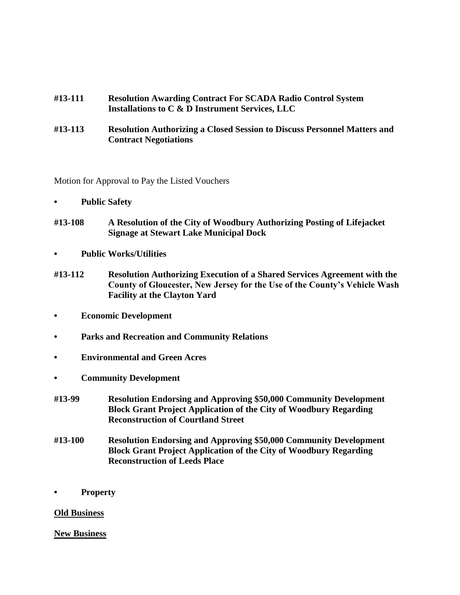- **#13-111 Resolution Awarding Contract For SCADA Radio Control System Installations to C & D Instrument Services, LLC**
- **#13-113 Resolution Authorizing a Closed Session to Discuss Personnel Matters and Contract Negotiations**

Motion for Approval to Pay the Listed Vouchers

- **• Public Safety**
- **#13-108 A Resolution of the City of Woodbury Authorizing Posting of Lifejacket Signage at Stewart Lake Municipal Dock**
- **• Public Works/Utilities**
- **#13-112 Resolution Authorizing Execution of a Shared Services Agreement with the County of Gloucester, New Jersey for the Use of the County's Vehicle Wash Facility at the Clayton Yard**
- **• Economic Development**
- **• Parks and Recreation and Community Relations**
- **• Environmental and Green Acres**
- **• Community Development**
- **#13-99 Resolution Endorsing and Approving \$50,000 Community Development Block Grant Project Application of the City of Woodbury Regarding Reconstruction of Courtland Street**
- **#13-100 Resolution Endorsing and Approving \$50,000 Community Development Block Grant Project Application of the City of Woodbury Regarding Reconstruction of Leeds Place**
- **• Property**

#### **Old Business**

#### **New Business**